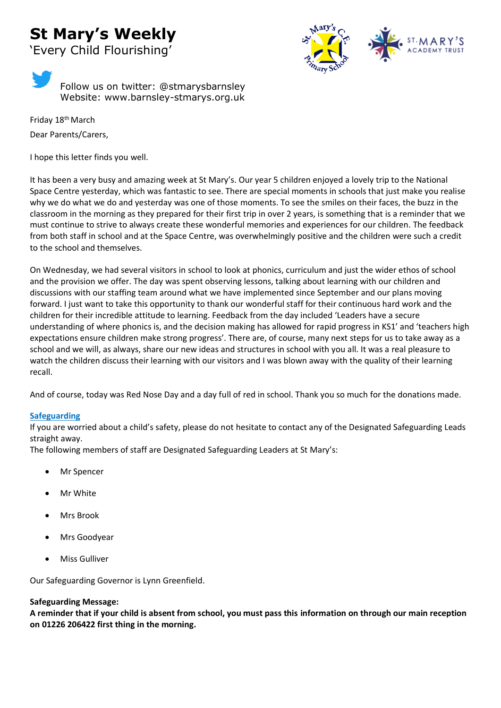# **St Mary's Weekly** 'Every Child Flourishing'



Follow us on twitter: @stmarysbarnsley Website: www.barnsley-stmarys.org.uk

Friday 18<sup>th</sup> March Dear Parents/Carers,

I hope this letter finds you well.

It has been a very busy and amazing week at St Mary's. Our year 5 children enjoyed a lovely trip to the National Space Centre yesterday, which was fantastic to see. There are special moments in schools that just make you realise why we do what we do and yesterday was one of those moments. To see the smiles on their faces, the buzz in the classroom in the morning as they prepared for their first trip in over 2 years, is something that is a reminder that we must continue to strive to always create these wonderful memories and experiences for our children. The feedback from both staff in school and at the Space Centre, was overwhelmingly positive and the children were such a credit to the school and themselves.

On Wednesday, we had several visitors in school to look at phonics, curriculum and just the wider ethos of school and the provision we offer. The day was spent observing lessons, talking about learning with our children and discussions with our staffing team around what we have implemented since September and our plans moving forward. I just want to take this opportunity to thank our wonderful staff for their continuous hard work and the children for their incredible attitude to learning. Feedback from the day included 'Leaders have a secure understanding of where phonics is, and the decision making has allowed for rapid progress in KS1' and 'teachers high expectations ensure children make strong progress'. There are, of course, many next steps for us to take away as a school and we will, as always, share our new ideas and structures in school with you all. It was a real pleasure to watch the children discuss their learning with our visitors and I was blown away with the quality of their learning recall.

And of course, today was Red Nose Day and a day full of red in school. Thank you so much for the donations made.

# **Safeguarding**

If you are worried about a child's safety, please do not hesitate to contact any of the Designated Safeguarding Leads straight away.

The following members of staff are Designated Safeguarding Leaders at St Mary's:

- Mr Spencer
- Mr White
- Mrs Brook
- Mrs Goodyear
- Miss Gulliver

Our Safeguarding Governor is Lynn Greenfield.

# **Safeguarding Message:**

**A reminder that if your child is absent from school, you must pass this information on through our main reception on 01226 206422 first thing in the morning.**